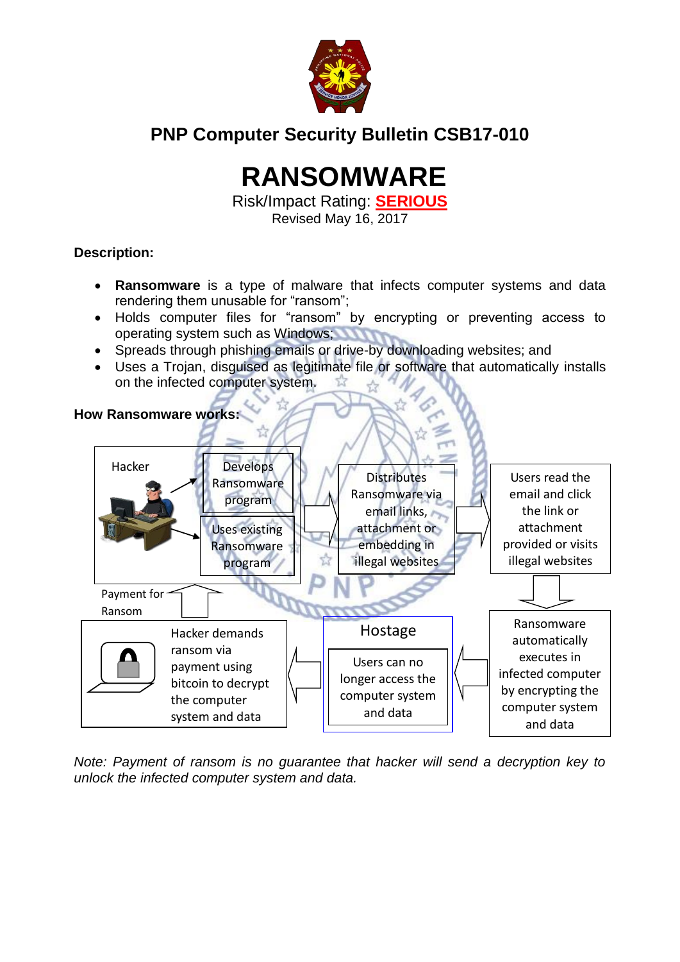

# **PNP Computer Security Bulletin CSB17-010**

# **RANSOMWARE**

Risk/Impact Rating: **SERIOUS** Revised May 16, 2017

## **Description:**

- **Ransomware** is a type of malware that infects computer systems and data rendering them unusable for "ransom";
- Holds computer files for "ransom" by encrypting or preventing access to operating system such as Windows;
- Spreads through phishing emails or drive-by downloading websites; and
- Uses a Trojan, disguised as legitimate file or software that automatically installs on the infected computer system.



*Note: Payment of ransom is no guarantee that hacker will send a decryption key to unlock the infected computer system and data.*

#### **How Ransomware works:**